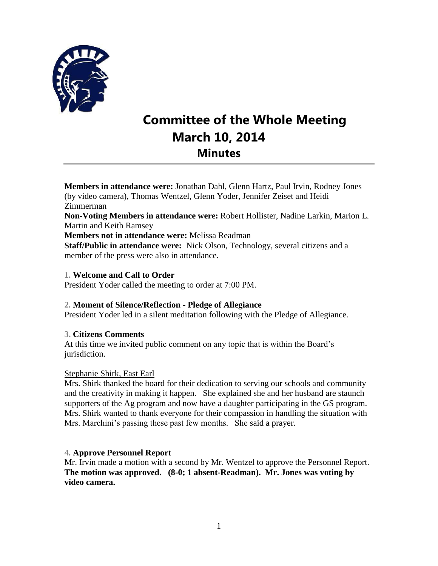

# **Committee of the Whole Meeting March 10, 2014 Minutes**

**Members in attendance were:** Jonathan Dahl, Glenn Hartz, Paul Irvin, Rodney Jones (by video camera), Thomas Wentzel, Glenn Yoder, Jennifer Zeiset and Heidi Zimmerman **Non-Voting Members in attendance were:** Robert Hollister, Nadine Larkin, Marion L. Martin and Keith Ramsey **Members not in attendance were:** Melissa Readman **Staff/Public in attendance were:** Nick Olson, Technology, several citizens and a member of the press were also in attendance.

## **1. Welcome and Call to Order**

President Yoder called the meeting to order at 7:00 PM.

## **2. Moment of Silence/Reflection - Pledge of Allegiance**

President Yoder led in a silent meditation following with the Pledge of Allegiance.

## **3. Citizens Comments**

At this time we invited public comment on any topic that is within the Board's jurisdiction.

## Stephanie Shirk, East Earl

Mrs. Shirk thanked the board for their dedication to serving our schools and community and the creativity in making it happen. She explained she and her husband are staunch supporters of the Ag program and now have a daughter participating in the GS program. Mrs. Shirk wanted to thank everyone for their compassion in handling the situation with Mrs. Marchini's passing these past few months. She said a prayer.

## **4. Approve Personnel Report**

Mr. Irvin made a motion with a second by Mr. Wentzel to approve the Personnel Report. **The motion was approved. (8-0; 1 absent-Readman). Mr. Jones was voting by video camera.**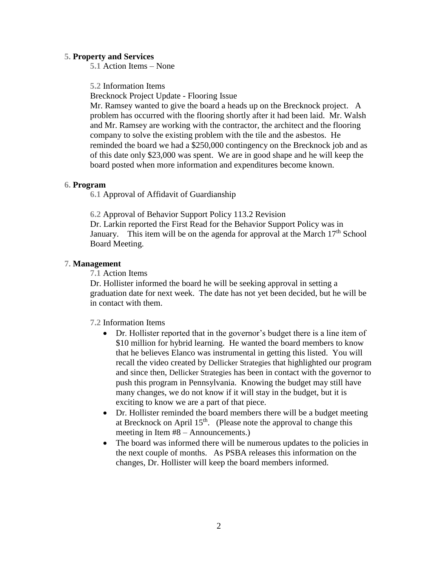#### **5. Property and Services**

**5.1** Action Items – None

**5.2** Information Items

Brecknock Project Update - Flooring Issue

Mr. Ramsey wanted to give the board a heads up on the Brecknock project. A problem has occurred with the flooring shortly after it had been laid. Mr. Walsh and Mr. Ramsey are working with the contractor, the architect and the flooring company to solve the existing problem with the tile and the asbestos. He reminded the board we had a \$250,000 contingency on the Brecknock job and as of this date only \$23,000 was spent. We are in good shape and he will keep the board posted when more information and expenditures become known.

#### **6. Program**

**6.1** Approval of Affidavit of Guardianship

**6.2** Approval of Behavior Support Policy 113.2 Revision Dr. Larkin reported the First Read for the Behavior Support Policy was in January. This item will be on the agenda for approval at the March  $17<sup>th</sup>$  School Board Meeting.

#### **7. Management**

**7.1** Action Items

Dr. Hollister informed the board he will be seeking approval in setting a graduation date for next week. The date has not yet been decided, but he will be in contact with them.

**7.2** Information Items

- Dr. Hollister reported that in the governor's budget there is a line item of \$10 million for hybrid learning. He wanted the board members to know that he believes Elanco was instrumental in getting this listed. You will recall the video created by Dellicker Strategies that highlighted our program and since then, Dellicker Strategies has been in contact with the governor to push this program in Pennsylvania. Knowing the budget may still have many changes, we do not know if it will stay in the budget, but it is exciting to know we are a part of that piece.
- Dr. Hollister reminded the board members there will be a budget meeting at Brecknock on April  $15<sup>th</sup>$ . (Please note the approval to change this meeting in Item #8 – Announcements.)
- The board was informed there will be numerous updates to the policies in the next couple of months. As PSBA releases this information on the changes, Dr. Hollister will keep the board members informed.